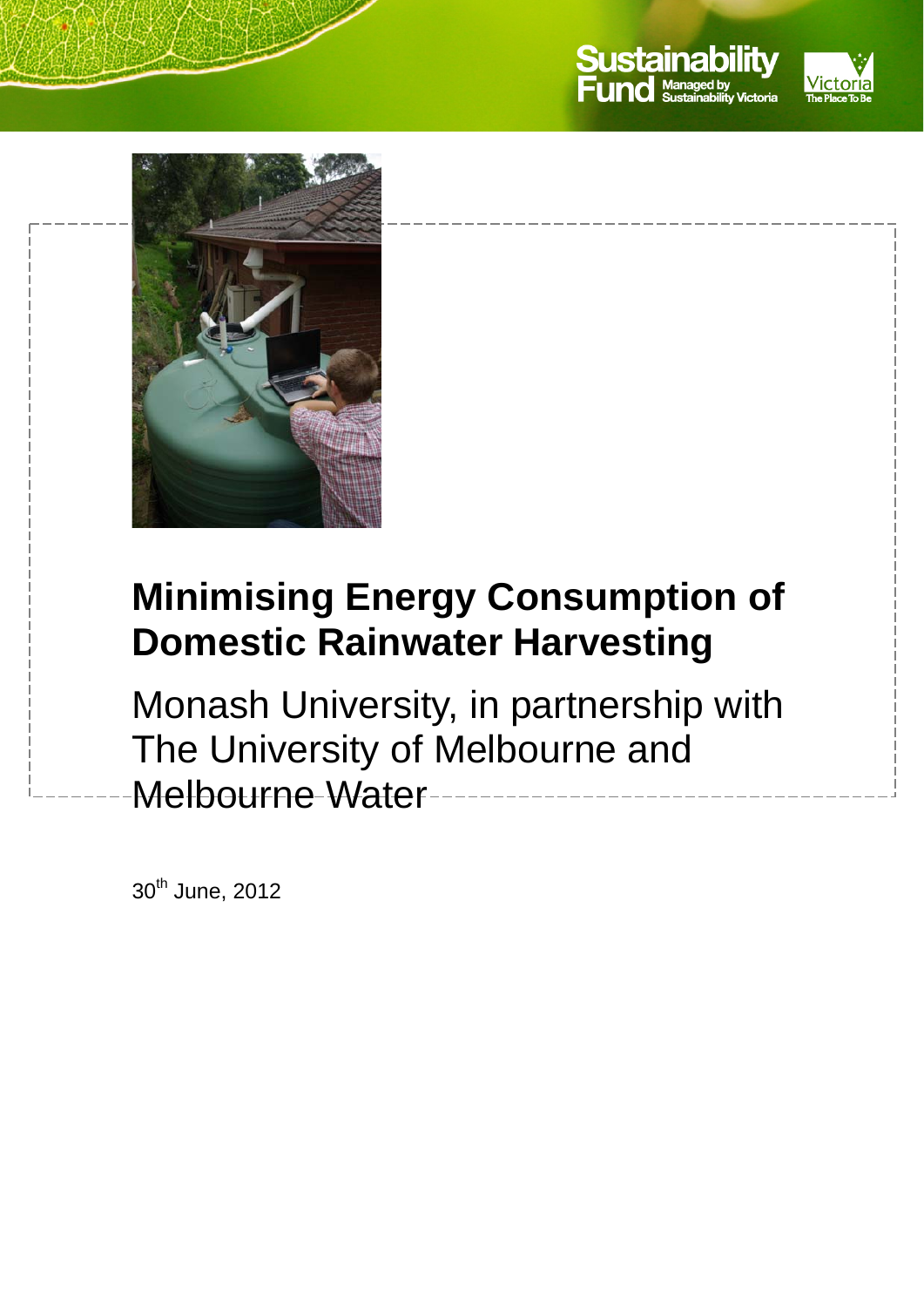



# **Minimising Energy Consumption of Domestic Rainwater Harvesting**

Monash University, in partnership with The University of Melbourne and Melbourne Water

30<sup>th</sup> June, 2012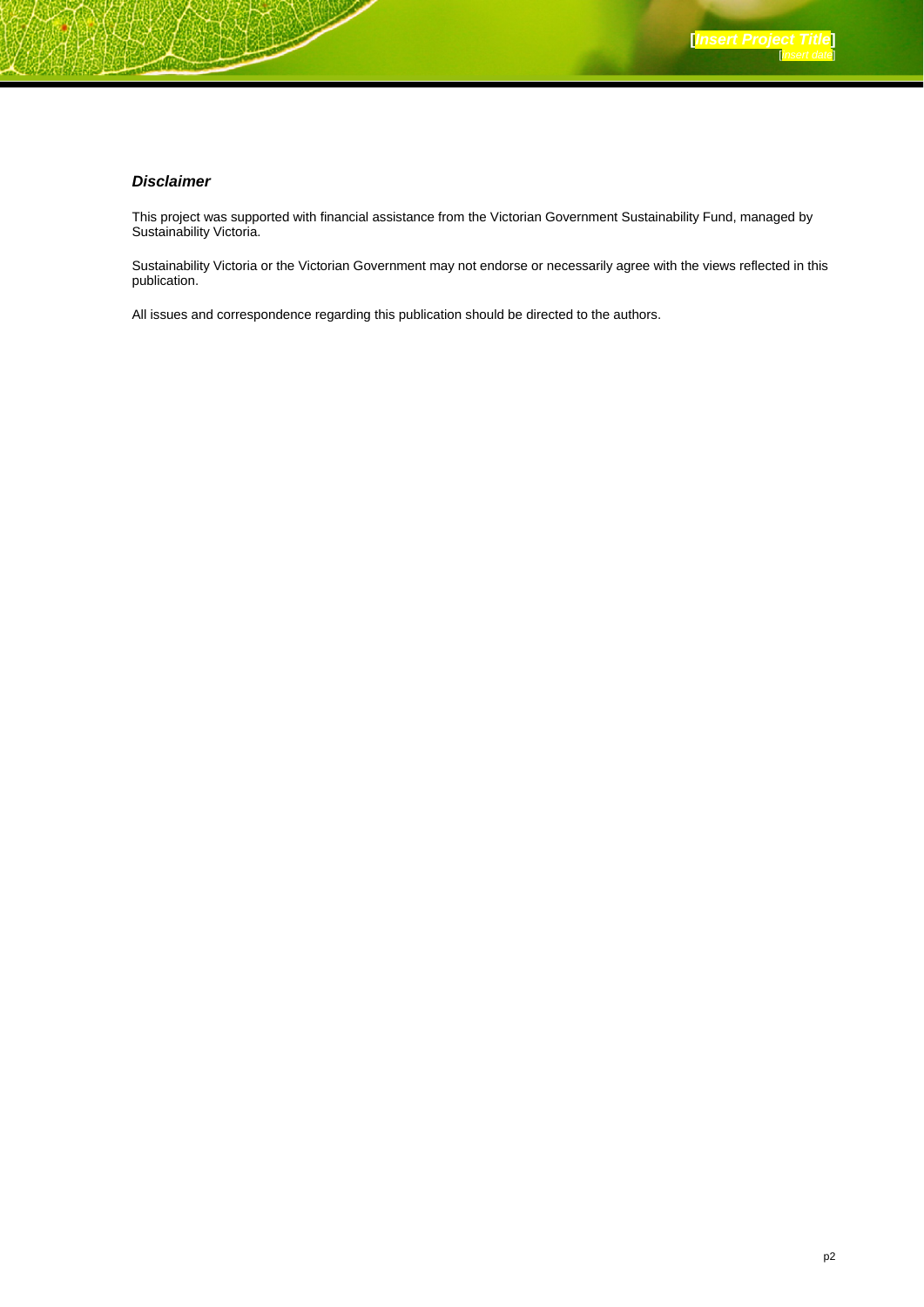#### *Disclaimer*

This project was supported with financial assistance from the Victorian Government Sustainability Fund, managed by Sustainability Victoria.

Sustainability Victoria or the Victorian Government may not endorse or necessarily agree with the views reflected in this publication.

All issues and correspondence regarding this publication should be directed to the authors.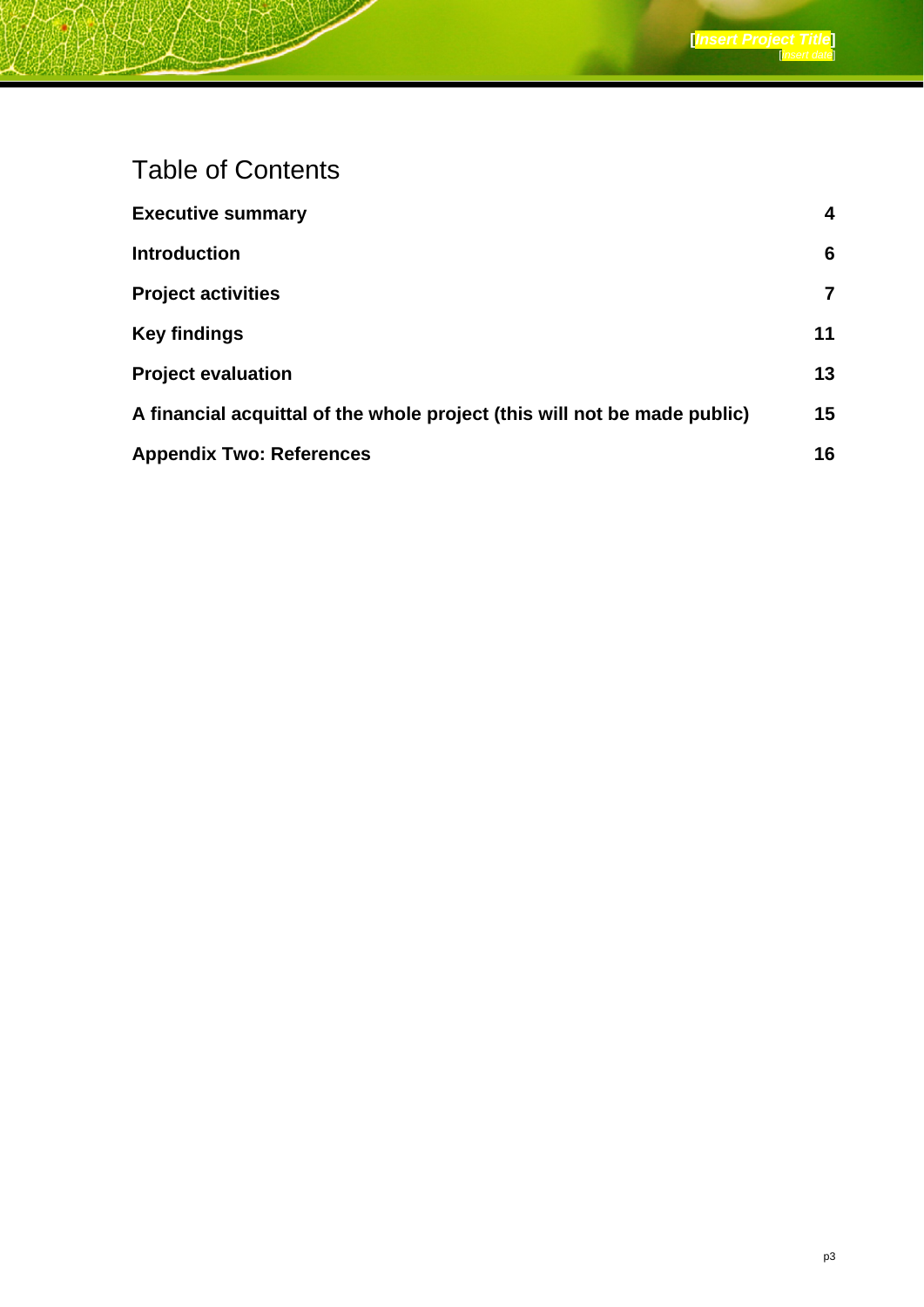## Table of Contents

| <b>Executive summary</b>                                                  | 4  |
|---------------------------------------------------------------------------|----|
| <b>Introduction</b>                                                       | 6  |
| <b>Project activities</b>                                                 | 7  |
| <b>Key findings</b>                                                       | 11 |
| <b>Project evaluation</b>                                                 | 13 |
| A financial acquittal of the whole project (this will not be made public) | 15 |
| <b>Appendix Two: References</b>                                           | 16 |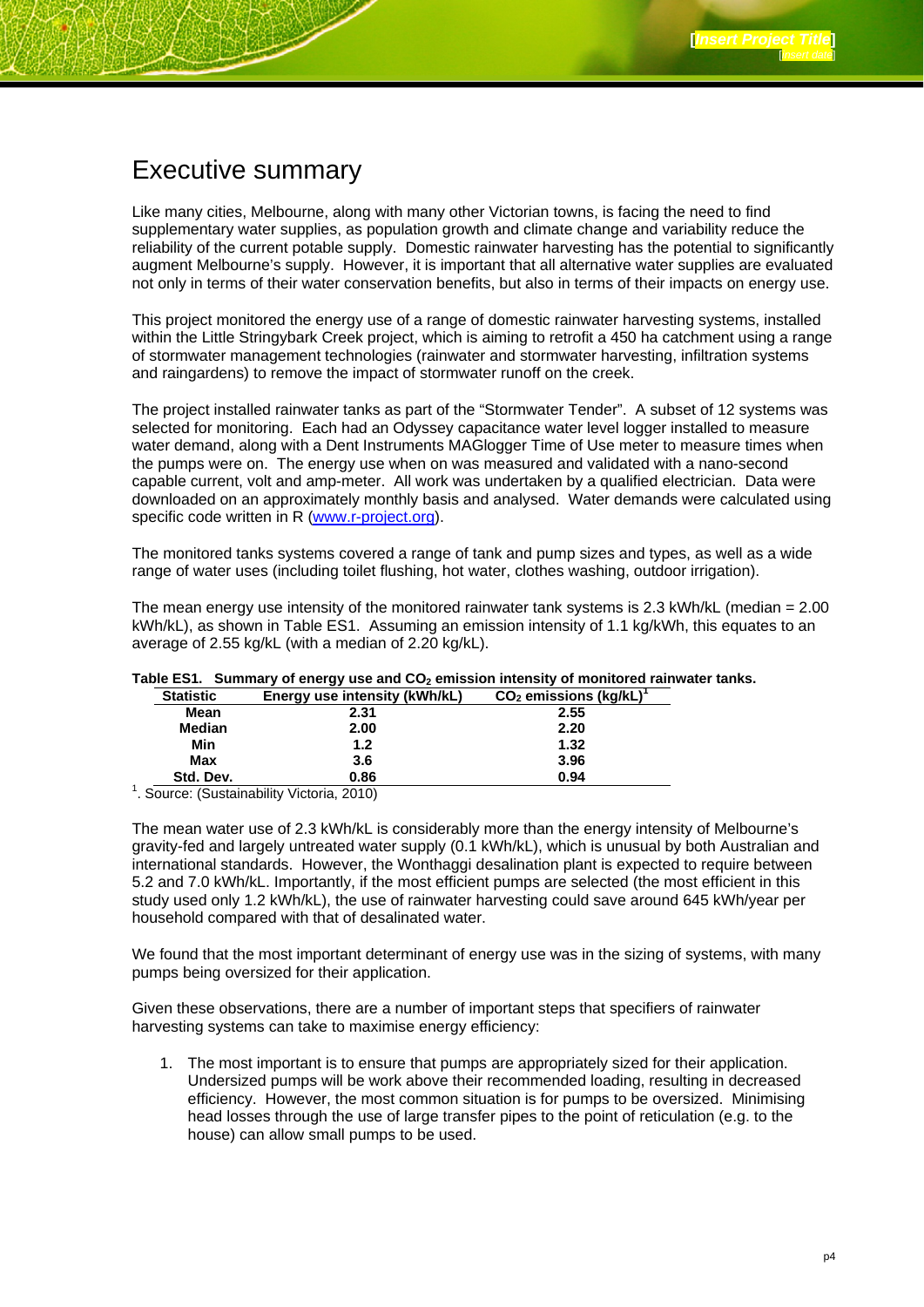### Executive summary

Like many cities, Melbourne, along with many other Victorian towns, is facing the need to find supplementary water supplies, as population growth and climate change and variability reduce the reliability of the current potable supply. Domestic rainwater harvesting has the potential to significantly augment Melbourne's supply. However, it is important that all alternative water supplies are evaluated not only in terms of their water conservation benefits, but also in terms of their impacts on energy use.

This project monitored the energy use of a range of domestic rainwater harvesting systems, installed within the Little Stringybark Creek project, which is aiming to retrofit a 450 ha catchment using a range of stormwater management technologies (rainwater and stormwater harvesting, infiltration systems and raingardens) to remove the impact of stormwater runoff on the creek.

The project installed rainwater tanks as part of the "Stormwater Tender". A subset of 12 systems was selected for monitoring. Each had an Odyssey capacitance water level logger installed to measure water demand, along with a Dent Instruments MAGlogger Time of Use meter to measure times when the pumps were on. The energy use when on was measured and validated with a nano-second capable current, volt and amp-meter. All work was undertaken by a qualified electrician. Data were downloaded on an approximately monthly basis and analysed. Water demands were calculated using specific code written in R (www.r-project.org).

The monitored tanks systems covered a range of tank and pump sizes and types, as well as a wide range of water uses (including toilet flushing, hot water, clothes washing, outdoor irrigation).

The mean energy use intensity of the monitored rainwater tank systems is 2.3 kWh/kL (median = 2.00 kWh/kL), as shown in Table ES1. Assuming an emission intensity of 1.1 kg/kWh, this equates to an average of 2.55 kg/kL (with a median of 2.20 kg/kL).

| <b>Statistic</b> | Energy use intensity (kWh/kL)                          | CO <sub>2</sub> emissions (kg/kL) |
|------------------|--------------------------------------------------------|-----------------------------------|
| Mean             | 2.31                                                   | 2.55                              |
| Median           | 2.00                                                   | 2.20                              |
| Min              | 1.2                                                    | 1.32                              |
| Max              | 3.6                                                    | 3.96                              |
| Std. Dev.        | 0.86                                                   | 0.94                              |
|                  | <sup>1</sup> . Source: (Sustainability Victoria, 2010) |                                   |

#### Table ES1. Summary of energy use and CO<sub>2</sub> emission intensity of monitored rainwater tanks.

The mean water use of 2.3 kWh/kL is considerably more than the energy intensity of Melbourne's gravity-fed and largely untreated water supply (0.1 kWh/kL), which is unusual by both Australian and international standards. However, the Wonthaggi desalination plant is expected to require between 5.2 and 7.0 kWh/kL. Importantly, if the most efficient pumps are selected (the most efficient in this study used only 1.2 kWh/kL), the use of rainwater harvesting could save around 645 kWh/year per household compared with that of desalinated water.

We found that the most important determinant of energy use was in the sizing of systems, with many pumps being oversized for their application.

Given these observations, there are a number of important steps that specifiers of rainwater harvesting systems can take to maximise energy efficiency:

1. The most important is to ensure that pumps are appropriately sized for their application. Undersized pumps will be work above their recommended loading, resulting in decreased efficiency. However, the most common situation is for pumps to be oversized. Minimising head losses through the use of large transfer pipes to the point of reticulation (e.g. to the house) can allow small pumps to be used.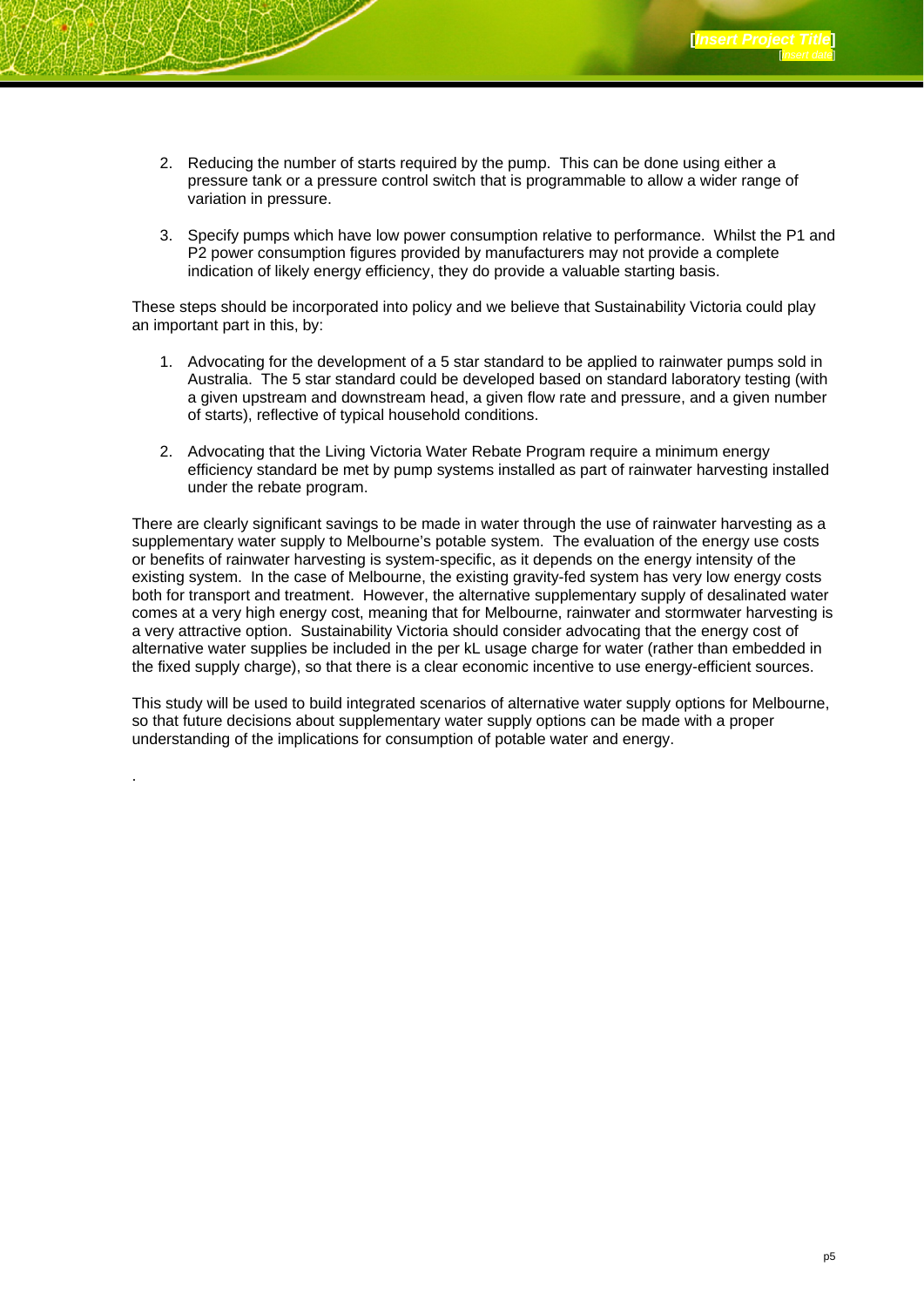- 2. Reducing the number of starts required by the pump. This can be done using either a pressure tank or a pressure control switch that is programmable to allow a wider range of variation in pressure.
- 3. Specify pumps which have low power consumption relative to performance. Whilst the P1 and P2 power consumption figures provided by manufacturers may not provide a complete indication of likely energy efficiency, they do provide a valuable starting basis.

These steps should be incorporated into policy and we believe that Sustainability Victoria could play an important part in this, by:

- 1. Advocating for the development of a 5 star standard to be applied to rainwater pumps sold in Australia. The 5 star standard could be developed based on standard laboratory testing (with a given upstream and downstream head, a given flow rate and pressure, and a given number of starts), reflective of typical household conditions.
- 2. Advocating that the Living Victoria Water Rebate Program require a minimum energy efficiency standard be met by pump systems installed as part of rainwater harvesting installed under the rebate program.

There are clearly significant savings to be made in water through the use of rainwater harvesting as a supplementary water supply to Melbourne's potable system. The evaluation of the energy use costs or benefits of rainwater harvesting is system-specific, as it depends on the energy intensity of the existing system. In the case of Melbourne, the existing gravity-fed system has very low energy costs both for transport and treatment. However, the alternative supplementary supply of desalinated water comes at a very high energy cost, meaning that for Melbourne, rainwater and stormwater harvesting is a very attractive option. Sustainability Victoria should consider advocating that the energy cost of alternative water supplies be included in the per kL usage charge for water (rather than embedded in the fixed supply charge), so that there is a clear economic incentive to use energy-efficient sources.

This study will be used to build integrated scenarios of alternative water supply options for Melbourne, so that future decisions about supplementary water supply options can be made with a proper understanding of the implications for consumption of potable water and energy.

.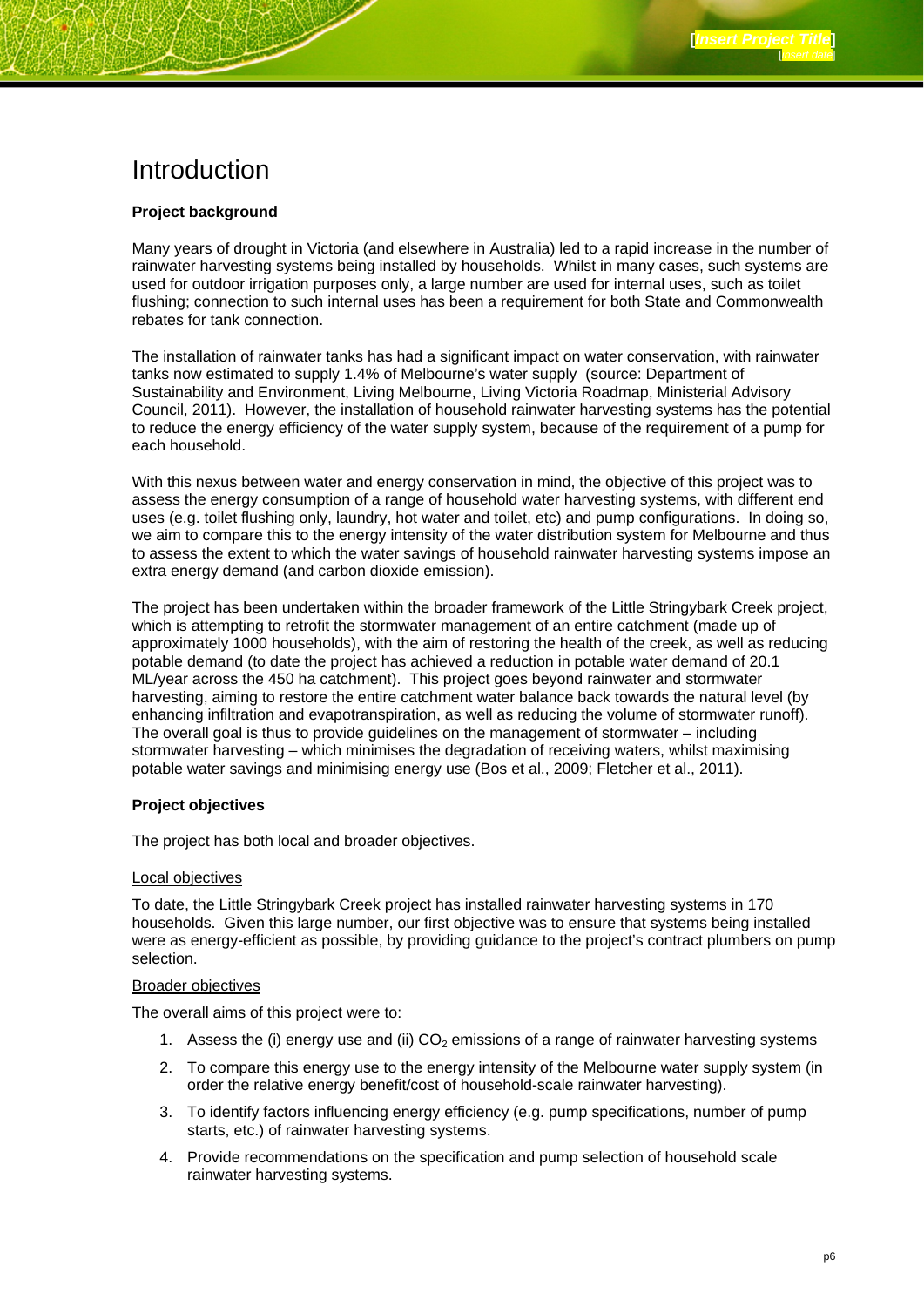### Introduction

#### **Project background**

Many years of drought in Victoria (and elsewhere in Australia) led to a rapid increase in the number of rainwater harvesting systems being installed by households. Whilst in many cases, such systems are used for outdoor irrigation purposes only, a large number are used for internal uses, such as toilet flushing; connection to such internal uses has been a requirement for both State and Commonwealth rebates for tank connection.

The installation of rainwater tanks has had a significant impact on water conservation, with rainwater tanks now estimated to supply 1.4% of Melbourne's water supply (source: Department of Sustainability and Environment, Living Melbourne, Living Victoria Roadmap, Ministerial Advisory Council, 2011). However, the installation of household rainwater harvesting systems has the potential to reduce the energy efficiency of the water supply system, because of the requirement of a pump for each household.

With this nexus between water and energy conservation in mind, the objective of this project was to assess the energy consumption of a range of household water harvesting systems, with different end uses (e.g. toilet flushing only, laundry, hot water and toilet, etc) and pump configurations. In doing so, we aim to compare this to the energy intensity of the water distribution system for Melbourne and thus to assess the extent to which the water savings of household rainwater harvesting systems impose an extra energy demand (and carbon dioxide emission).

The project has been undertaken within the broader framework of the Little Stringybark Creek project, which is attempting to retrofit the stormwater management of an entire catchment (made up of approximately 1000 households), with the aim of restoring the health of the creek, as well as reducing potable demand (to date the project has achieved a reduction in potable water demand of 20.1 ML/year across the 450 ha catchment). This project goes beyond rainwater and stormwater harvesting, aiming to restore the entire catchment water balance back towards the natural level (by enhancing infiltration and evapotranspiration, as well as reducing the volume of stormwater runoff). The overall goal is thus to provide guidelines on the management of stormwater – including stormwater harvesting – which minimises the degradation of receiving waters, whilst maximising potable water savings and minimising energy use (Bos et al., 2009; Fletcher et al., 2011).

#### **Project objectives**

The project has both local and broader objectives.

#### Local objectives

To date, the Little Stringybark Creek project has installed rainwater harvesting systems in 170 households. Given this large number, our first objective was to ensure that systems being installed were as energy-efficient as possible, by providing guidance to the project's contract plumbers on pump selection.

#### Broader objectives

The overall aims of this project were to:

- 1. Assess the (i) energy use and (ii)  $CO<sub>2</sub>$  emissions of a range of rainwater harvesting systems
- 2. To compare this energy use to the energy intensity of the Melbourne water supply system (in order the relative energy benefit/cost of household-scale rainwater harvesting).
- 3. To identify factors influencing energy efficiency (e.g. pump specifications, number of pump starts, etc.) of rainwater harvesting systems.
- 4. Provide recommendations on the specification and pump selection of household scale rainwater harvesting systems.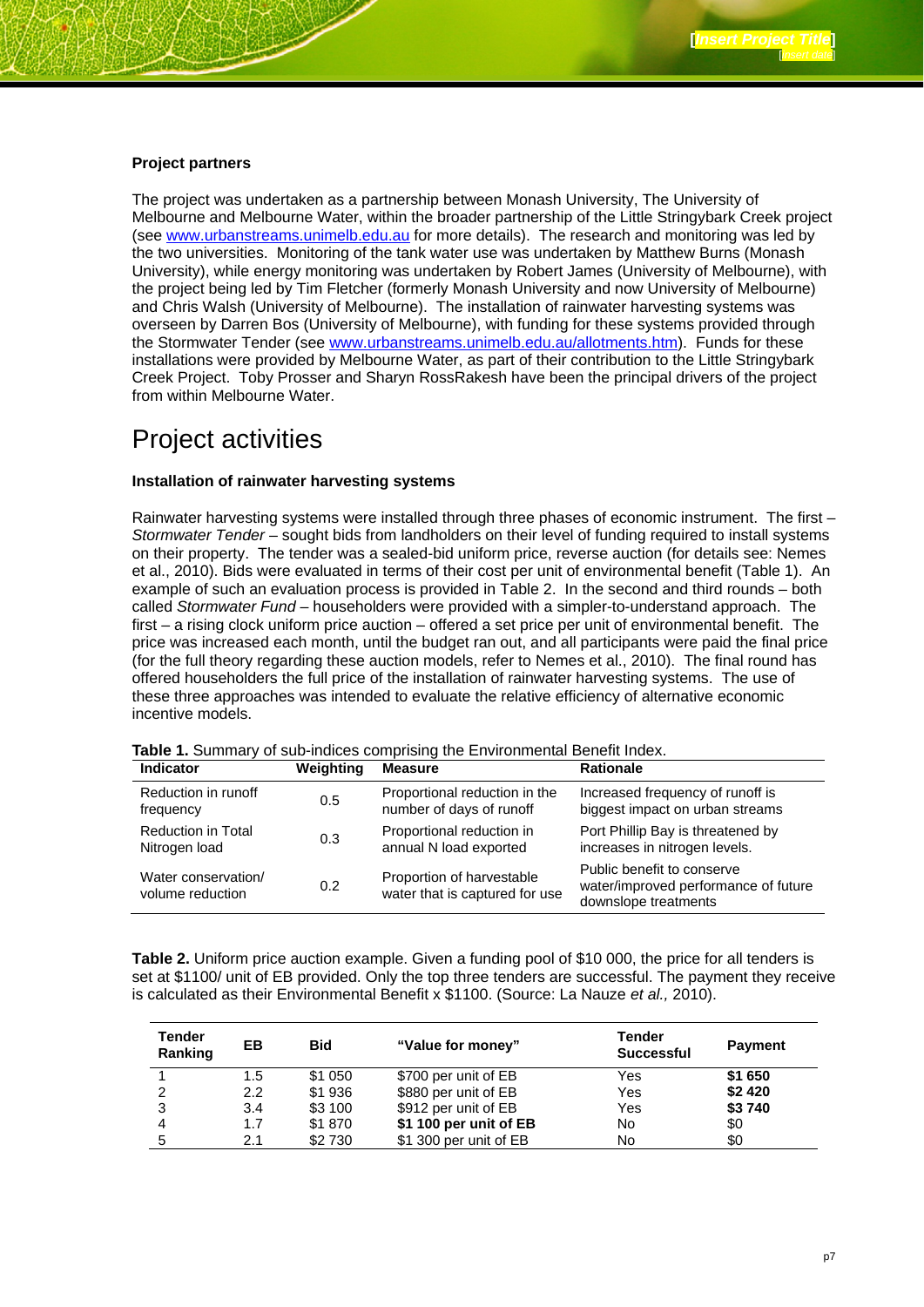#### **Project partners**

The project was undertaken as a partnership between Monash University, The University of Melbourne and Melbourne Water, within the broader partnership of the Little Stringybark Creek project (see www.urbanstreams.unimelb.edu.au for more details). The research and monitoring was led by the two universities. Monitoring of the tank water use was undertaken by Matthew Burns (Monash University), while energy monitoring was undertaken by Robert James (University of Melbourne), with the project being led by Tim Fletcher (formerly Monash University and now University of Melbourne) and Chris Walsh (University of Melbourne). The installation of rainwater harvesting systems was overseen by Darren Bos (University of Melbourne), with funding for these systems provided through the Stormwater Tender (see www.urbanstreams.unimelb.edu.au/allotments.htm). Funds for these installations were provided by Melbourne Water, as part of their contribution to the Little Stringybark Creek Project. Toby Prosser and Sharyn RossRakesh have been the principal drivers of the project from within Melbourne Water.

### Project activities

#### **Installation of rainwater harvesting systems**

Rainwater harvesting systems were installed through three phases of economic instrument. The first – *Stormwater Tender* – sought bids from landholders on their level of funding required to install systems on their property. The tender was a sealed-bid uniform price, reverse auction (for details see: Nemes et al., 2010). Bids were evaluated in terms of their cost per unit of environmental benefit (Table 1). An example of such an evaluation process is provided in Table 2. In the second and third rounds – both called *Stormwater Fund* – householders were provided with a simpler-to-understand approach. The first – a rising clock uniform price auction – offered a set price per unit of environmental benefit. The price was increased each month, until the budget ran out, and all participants were paid the final price (for the full theory regarding these auction models, refer to Nemes et al., 2010). The final round has offered householders the full price of the installation of rainwater harvesting systems. The use of these three approaches was intended to evaluate the relative efficiency of alternative economic incentive models.

| Indicator                               | Weighting | <b>Measure</b>                                              | <b>Rationale</b>                                                                           |
|-----------------------------------------|-----------|-------------------------------------------------------------|--------------------------------------------------------------------------------------------|
| Reduction in runoff                     | 0.5       | Proportional reduction in the                               | Increased frequency of runoff is                                                           |
| frequency                               |           | number of days of runoff                                    | biggest impact on urban streams                                                            |
| <b>Reduction in Total</b>               | 0.3       | Proportional reduction in                                   | Port Phillip Bay is threatened by                                                          |
| Nitrogen load                           |           | annual N load exported                                      | increases in nitrogen levels.                                                              |
| Water conservation/<br>volume reduction | 0.2       | Proportion of harvestable<br>water that is captured for use | Public benefit to conserve<br>water/improved performance of future<br>downslope treatments |

**Table 1.** Summary of sub-indices comprising the Environmental Benefit Index.

**Table 2.** Uniform price auction example. Given a funding pool of \$10 000, the price for all tenders is set at \$1100/ unit of EB provided. Only the top three tenders are successful. The payment they receive is calculated as their Environmental Benefit x \$1100. (Source: La Nauze *et al.,* 2010).

| Tender<br>Ranking | EВ            | <b>Bid</b> | "Value for money"      | <b>Tender</b><br><b>Successful</b> | <b>Payment</b> |
|-------------------|---------------|------------|------------------------|------------------------------------|----------------|
|                   | 1.5           | \$1 050    | \$700 per unit of EB   | Yes                                | \$1 650        |
| 2                 | $2.2^{\circ}$ | \$1936     | \$880 per unit of EB   | Yes                                | \$2 4 20       |
| 3                 | 3.4           | \$3 100    | \$912 per unit of EB   | Yes                                | \$3740         |
| 4                 | 1.7           | \$1870     | \$1 100 per unit of EB | No                                 | \$0            |
|                   | 2.1           | \$2 730    | \$1 300 per unit of EB | No                                 | \$0            |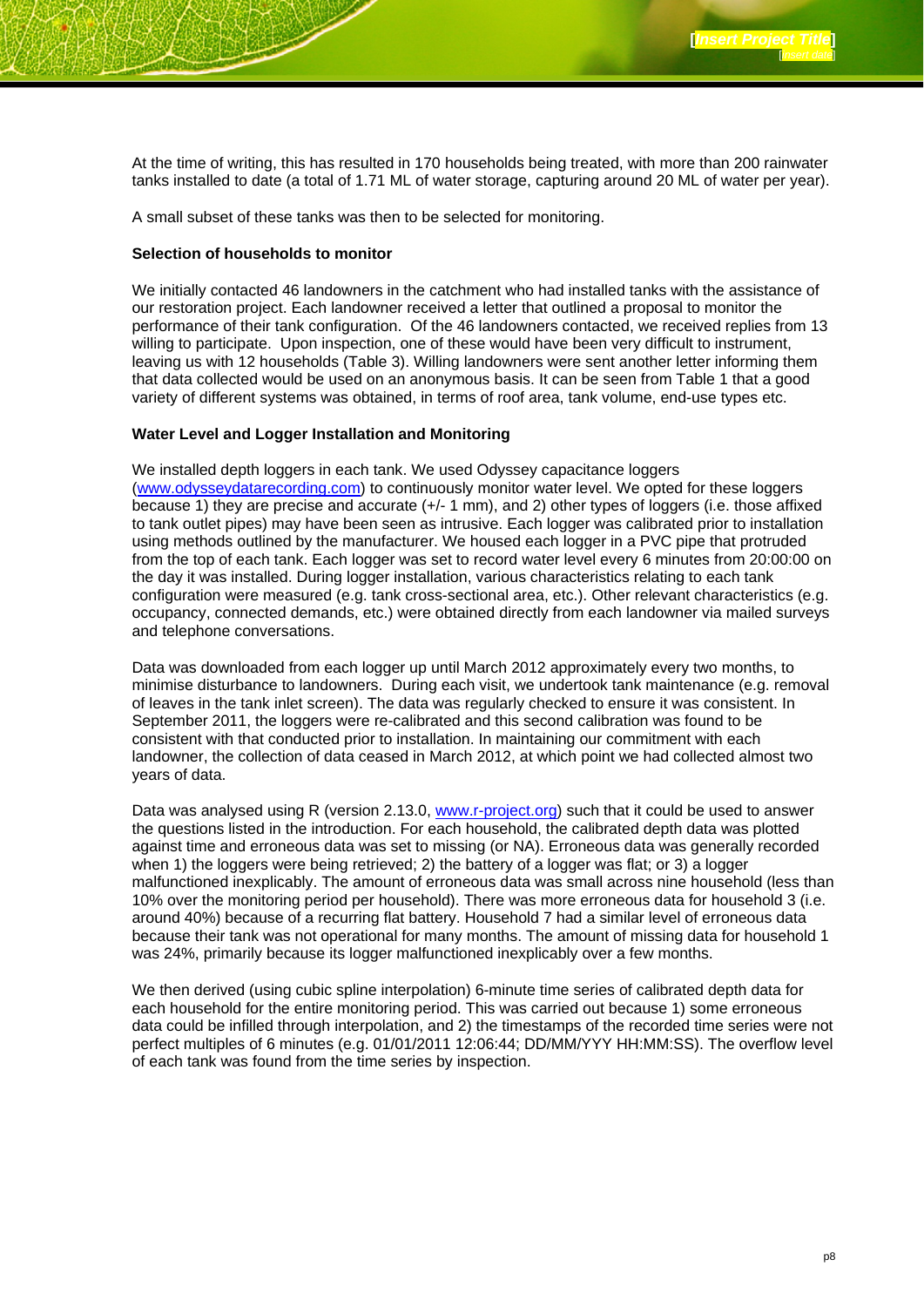At the time of writing, this has resulted in 170 households being treated, with more than 200 rainwater tanks installed to date (a total of 1.71 ML of water storage, capturing around 20 ML of water per year).

A small subset of these tanks was then to be selected for monitoring.

#### **Selection of households to monitor**

We initially contacted 46 landowners in the catchment who had installed tanks with the assistance of our restoration project. Each landowner received a letter that outlined a proposal to monitor the performance of their tank configuration. Of the 46 landowners contacted, we received replies from 13 willing to participate. Upon inspection, one of these would have been very difficult to instrument, leaving us with 12 households (Table 3). Willing landowners were sent another letter informing them that data collected would be used on an anonymous basis. It can be seen from Table 1 that a good variety of different systems was obtained, in terms of roof area, tank volume, end-use types etc.

#### **Water Level and Logger Installation and Monitoring**

We installed depth loggers in each tank. We used Odyssey capacitance loggers (www.odysseydatarecording.com) to continuously monitor water level. We opted for these loggers because 1) they are precise and accurate (+/- 1 mm), and 2) other types of loggers (i.e. those affixed to tank outlet pipes) may have been seen as intrusive. Each logger was calibrated prior to installation using methods outlined by the manufacturer. We housed each logger in a PVC pipe that protruded from the top of each tank. Each logger was set to record water level every 6 minutes from 20:00:00 on the day it was installed. During logger installation, various characteristics relating to each tank configuration were measured (e.g. tank cross-sectional area, etc.). Other relevant characteristics (e.g. occupancy, connected demands, etc.) were obtained directly from each landowner via mailed surveys and telephone conversations.

Data was downloaded from each logger up until March 2012 approximately every two months, to minimise disturbance to landowners. During each visit, we undertook tank maintenance (e.g. removal of leaves in the tank inlet screen). The data was regularly checked to ensure it was consistent. In September 2011, the loggers were re-calibrated and this second calibration was found to be consistent with that conducted prior to installation. In maintaining our commitment with each landowner, the collection of data ceased in March 2012, at which point we had collected almost two years of data.

Data was analysed using R (version 2.13.0, www.r-project.org) such that it could be used to answer the questions listed in the introduction. For each household, the calibrated depth data was plotted against time and erroneous data was set to missing (or NA). Erroneous data was generally recorded when 1) the loggers were being retrieved; 2) the battery of a logger was flat; or 3) a logger malfunctioned inexplicably. The amount of erroneous data was small across nine household (less than 10% over the monitoring period per household). There was more erroneous data for household 3 (i.e. around 40%) because of a recurring flat battery. Household 7 had a similar level of erroneous data because their tank was not operational for many months. The amount of missing data for household 1 was 24%, primarily because its logger malfunctioned inexplicably over a few months.

We then derived (using cubic spline interpolation) 6-minute time series of calibrated depth data for each household for the entire monitoring period. This was carried out because 1) some erroneous data could be infilled through interpolation, and 2) the timestamps of the recorded time series were not perfect multiples of 6 minutes (e.g. 01/01/2011 12:06:44; DD/MM/YYY HH:MM:SS). The overflow level of each tank was found from the time series by inspection.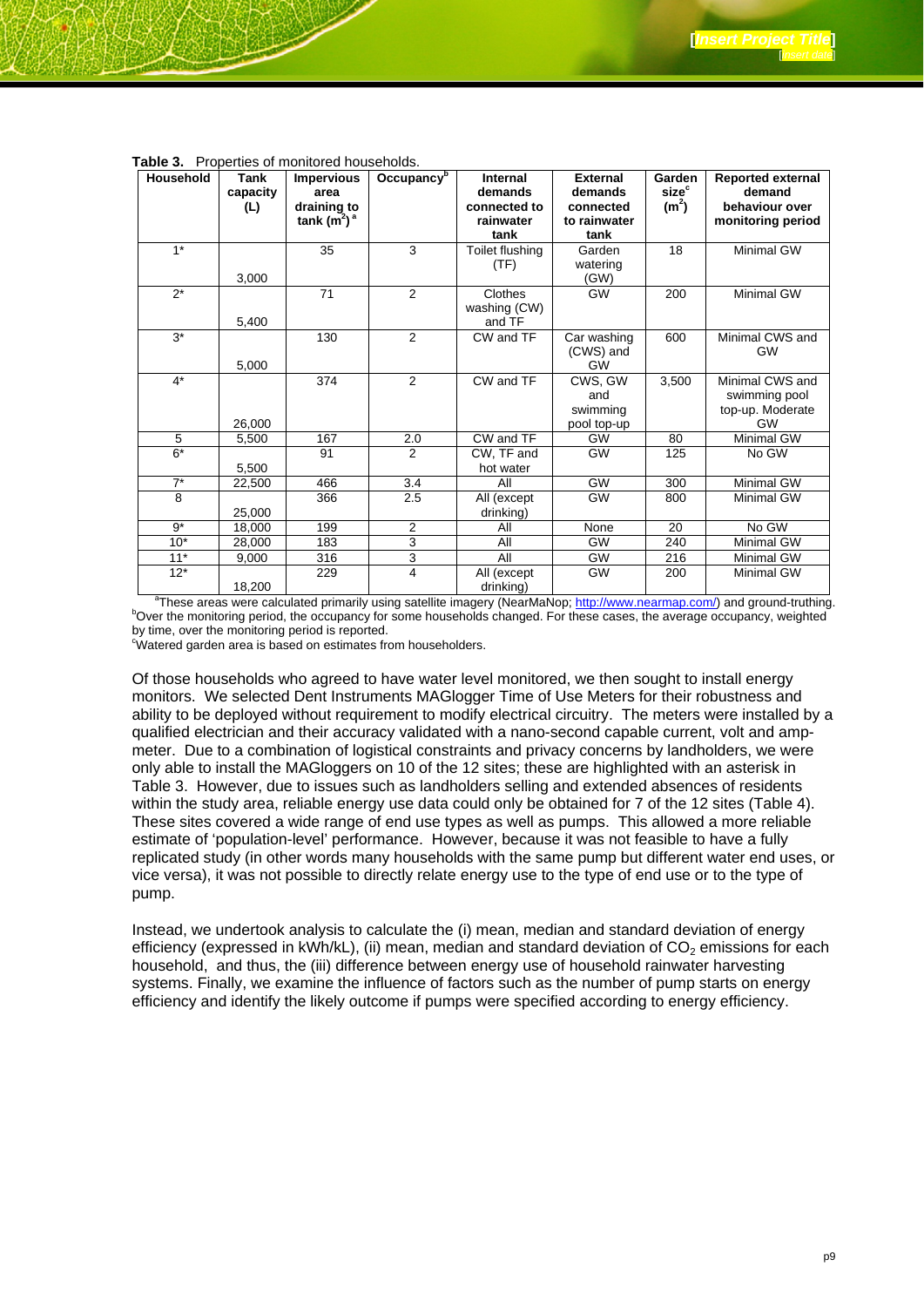| <b>Household</b> | <b>Tank</b> | <b>Impervious</b> | Occupancy <sup>b</sup> | <b>Internal</b>   | <b>External</b>      | Garden            | <b>Reported external</b> |
|------------------|-------------|-------------------|------------------------|-------------------|----------------------|-------------------|--------------------------|
|                  | capacity    | area              |                        | demands           | demands              | size <sup>c</sup> | demand                   |
|                  | (L)         | draining to       |                        | connected to      | connected            | (m <sup>2</sup> ) | behaviour over           |
|                  |             | tank $(m2)a$      |                        | rainwater<br>tank | to rainwater<br>tank |                   | monitoring period        |
| $1*$             |             | 35                | 3                      |                   | Garden               | 18                | Minimal GW               |
|                  |             |                   |                        | Toilet flushing   |                      |                   |                          |
|                  | 3,000       |                   |                        | (TF)              | watering<br>(GW)     |                   |                          |
| $\overline{2^*}$ |             | 71                | 2                      | Clothes           | <b>GW</b>            | 200               | <b>Minimal GW</b>        |
|                  |             |                   |                        | washing (CW)      |                      |                   |                          |
|                  | 5,400       |                   |                        | and TF            |                      |                   |                          |
| $3^*$            |             | 130               | 2                      | CW and TF         | Car washing          | 600               | Minimal CWS and          |
|                  |             |                   |                        |                   | (CWS) and            |                   | <b>GW</b>                |
|                  | 5,000       |                   |                        |                   | <b>GW</b>            |                   |                          |
| $4*$             |             | 374               | $\overline{2}$         | CW and TF         | CWS, GW              | 3,500             | Minimal CWS and          |
|                  |             |                   |                        |                   | and                  |                   | swimming pool            |
|                  |             |                   |                        |                   | swimming             |                   | top-up. Moderate         |
|                  | 26,000      |                   |                        |                   | pool top-up          |                   | <b>GW</b>                |
| 5                | 5,500       | 167               | 2.0                    | CW and TF         | <b>GW</b>            | 80                | <b>Minimal GW</b>        |
| $6*$             |             | 91                | $\overline{2}$         | CW, TF and        | <b>GW</b>            | 125               | No GW                    |
|                  | 5,500       |                   |                        | hot water         |                      |                   |                          |
| $7^*$            | 22,500      | 466               | 3.4                    | All               | <b>GW</b>            | 300               | Minimal GW               |
| 8                |             | 366               | 2.5                    | All (except       | <b>GW</b>            | 800               | <b>Minimal GW</b>        |
|                  | 25,000      |                   |                        | drinking)         |                      |                   |                          |
| $9*$             | 18,000      | 199               | 2                      | All               | None                 | 20                | No GW                    |
| $10*$            | 28,000      | 183               | $\overline{3}$         | All               | <b>GW</b>            | 240               | Minimal GW               |
| $11*$            | 9,000       | 316               | 3                      | All               | GW                   | 216               | <b>Minimal GW</b>        |
| $12*$            |             | 229               | $\overline{4}$         | All (except       | <b>GW</b>            | 200               | <b>Minimal GW</b>        |
|                  | 18,200      |                   |                        | drinking)         |                      |                   |                          |

**Table 3.** Properties of monitored households.

18,200 drinking) a These areas were calculated primarily using satellite imagery (NearMaNop; http://www.nearmap.com/) and ground-truthing. b <sup>b</sup>Over the monitoring period, the occupancy for some households changed. For these cases, the average occupancy, weighted by time, over the monitoring period is reported.

Watered garden area is based on estimates from householders.

Of those households who agreed to have water level monitored, we then sought to install energy monitors. We selected Dent Instruments MAGlogger Time of Use Meters for their robustness and ability to be deployed without requirement to modify electrical circuitry. The meters were installed by a qualified electrician and their accuracy validated with a nano-second capable current, volt and ampmeter. Due to a combination of logistical constraints and privacy concerns by landholders, we were only able to install the MAGloggers on 10 of the 12 sites; these are highlighted with an asterisk in Table 3. However, due to issues such as landholders selling and extended absences of residents within the study area, reliable energy use data could only be obtained for 7 of the 12 sites (Table 4). These sites covered a wide range of end use types as well as pumps. This allowed a more reliable estimate of 'population-level' performance. However, because it was not feasible to have a fully replicated study (in other words many households with the same pump but different water end uses, or vice versa), it was not possible to directly relate energy use to the type of end use or to the type of pump.

Instead, we undertook analysis to calculate the (i) mean, median and standard deviation of energy efficiency (expressed in kWh/kL), (ii) mean, median and standard deviation of  $CO<sub>2</sub>$  emissions for each household, and thus, the (iii) difference between energy use of household rainwater harvesting systems. Finally, we examine the influence of factors such as the number of pump starts on energy efficiency and identify the likely outcome if pumps were specified according to energy efficiency.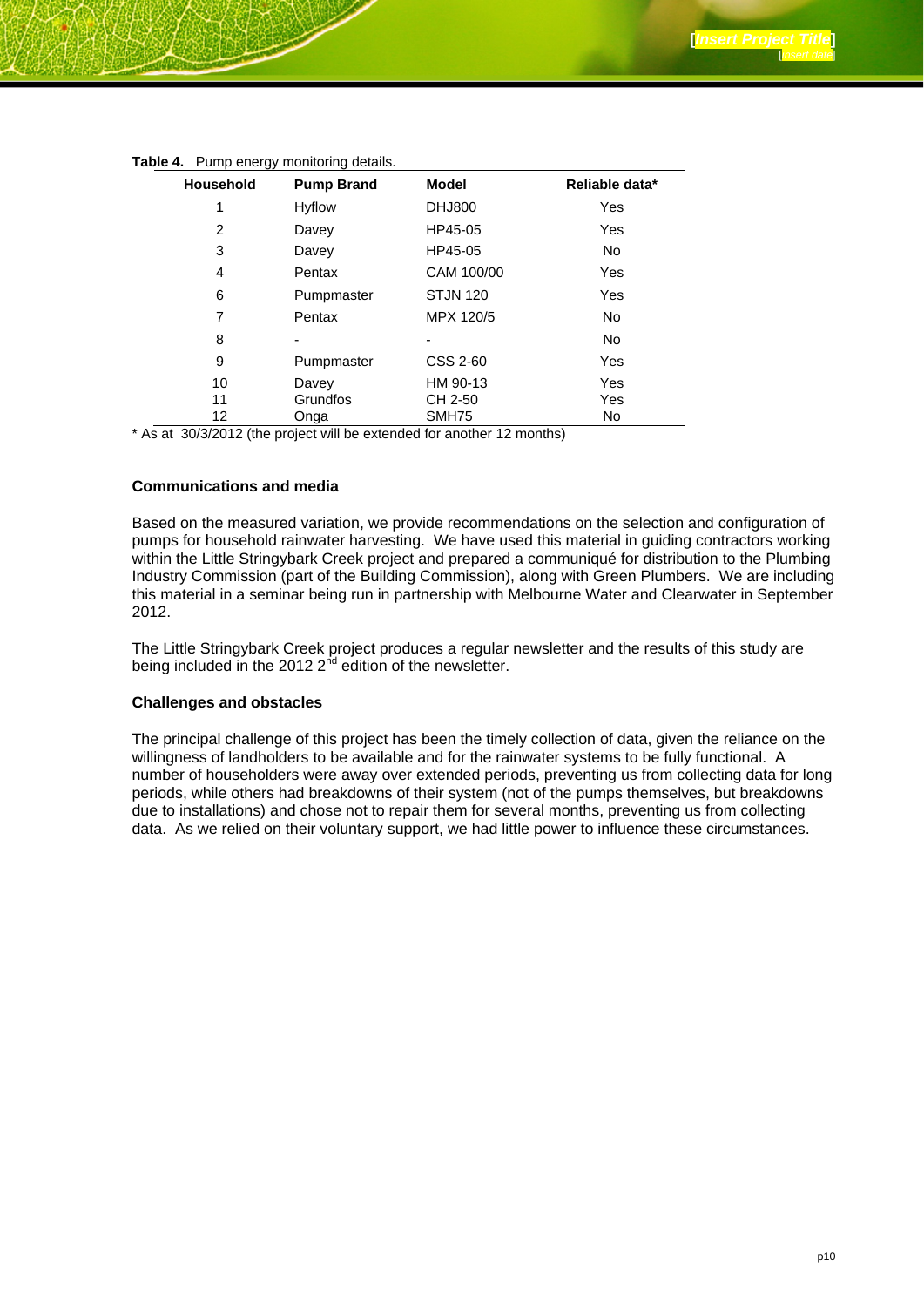| <b>Household</b> | <b>Pump Brand</b> | <b>Model</b>    | Reliable data*      |
|------------------|-------------------|-----------------|---------------------|
|                  | Hyflow            | <b>DHJ800</b>   | Yes                 |
| 2                | Davey             | HP45-05         | Yes                 |
| 3                | Davey             | HP45-05         | <b>No</b>           |
| 4                | Pentax            | CAM 100/00      | <b>Yes</b>          |
| 6                | Pumpmaster        | <b>STJN 120</b> | <b>Yes</b>          |
| 7                | Pentax            | MPX 120/5       | No.                 |
| 8                |                   |                 | <b>No</b>           |
| 9                | Pumpmaster        | CSS 2-60        | Yes                 |
| 10               | Davey             | HM 90-13        | <b>Yes</b>          |
| 11               | Grundfos          | CH 2-50         | Yes                 |
| 12               | Onga<br>.         | SMH75           | No<br>$\sim$ $\sim$ |

#### **Table 4.** Pump energy monitoring details.

\* As at 30/3/2012 (the project will be extended for another 12 months)

#### **Communications and media**

Based on the measured variation, we provide recommendations on the selection and configuration of pumps for household rainwater harvesting. We have used this material in guiding contractors working within the Little Stringybark Creek project and prepared a communiqué for distribution to the Plumbing Industry Commission (part of the Building Commission), along with Green Plumbers. We are including this material in a seminar being run in partnership with Melbourne Water and Clearwater in September 2012.

The Little Stringybark Creek project produces a regular newsletter and the results of this study are being included in the 2012  $2<sup>nd</sup>$  edition of the newsletter.

#### **Challenges and obstacles**

The principal challenge of this project has been the timely collection of data, given the reliance on the willingness of landholders to be available and for the rainwater systems to be fully functional. A number of householders were away over extended periods, preventing us from collecting data for long periods, while others had breakdowns of their system (not of the pumps themselves, but breakdowns due to installations) and chose not to repair them for several months, preventing us from collecting data. As we relied on their voluntary support, we had little power to influence these circumstances.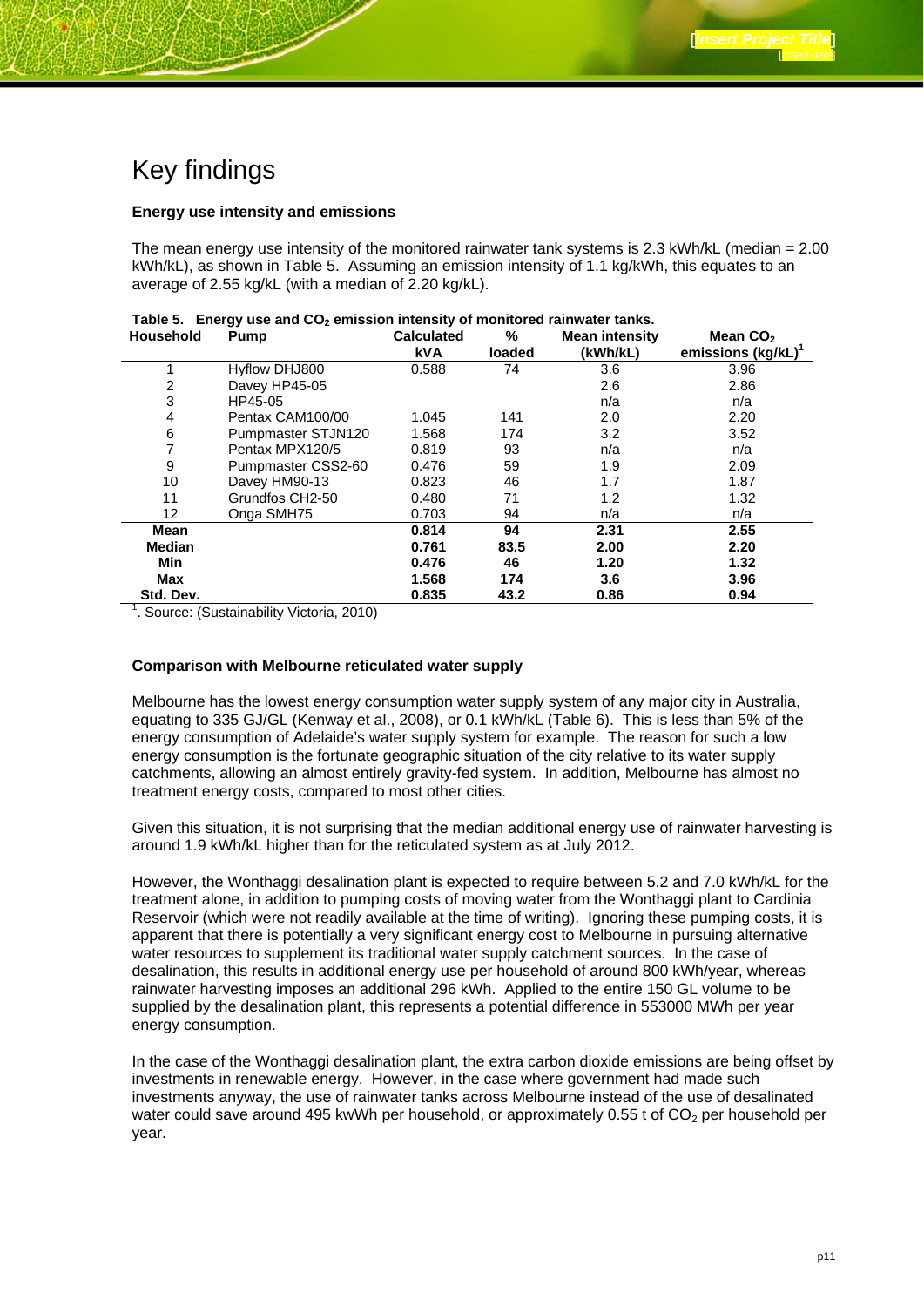### Key findings

#### **Energy use intensity and emissions**

The mean energy use intensity of the monitored rainwater tank systems is 2.3 kWh/kL (median  $= 2.00$ ) kWh/kL), as shown in Table 5. Assuming an emission intensity of 1.1 kg/kWh, this equates to an average of 2.55 kg/kL (with a median of 2.20 kg/kL).

| <b>Household</b> | Pump               | <b>Calculated</b> | %      | <b>Mean intensity</b> | Mean CO <sub>2</sub> |
|------------------|--------------------|-------------------|--------|-----------------------|----------------------|
|                  |                    | <b>kVA</b>        | loaded | (kWh/kL)              | emissions (kg/kL)    |
|                  | Hyflow DHJ800      | 0.588             | 74     | 3.6                   | 3.96                 |
| 2                | Davey HP45-05      |                   |        | 2.6                   | 2.86                 |
| 3                | HP45-05            |                   |        | n/a                   | n/a                  |
| 4                | Pentax CAM100/00   | 1.045             | 141    | 2.0                   | 2.20                 |
| 6                | Pumpmaster STJN120 | 1.568             | 174    | 3.2                   | 3.52                 |
|                  | Pentax MPX120/5    | 0.819             | 93     | n/a                   | n/a                  |
| 9                | Pumpmaster CSS2-60 | 0.476             | 59     | 1.9                   | 2.09                 |
| 10               | Davey HM90-13      | 0.823             | 46     | 1.7                   | 1.87                 |
| 11               | Grundfos CH2-50    | 0.480             | 71     | 1.2                   | 1.32                 |
| 12 <sup>°</sup>  | Onga SMH75         | 0.703             | 94     | n/a                   | n/a                  |
| Mean             |                    | 0.814             | 94     | 2.31                  | 2.55                 |
| <b>Median</b>    |                    | 0.761             | 83.5   | 2.00                  | 2.20                 |
| Min              |                    | 0.476             | 46     | 1.20                  | 1.32                 |
| Max              |                    | 1.568             | 174    | 3.6                   | 3.96                 |
| Std. Dev.        |                    | 0.835             | 43.2   | 0.86                  | 0.94                 |

| Table 5. Energy use and CO <sub>2</sub> emission intensity of monitored rainwater tanks. |
|------------------------------------------------------------------------------------------|
|------------------------------------------------------------------------------------------|

<sup>1</sup>. Source: (Sustainability Victoria, 2010)

#### **Comparison with Melbourne reticulated water supply**

Melbourne has the lowest energy consumption water supply system of any major city in Australia, equating to 335 GJ/GL (Kenway et al., 2008), or 0.1 kWh/kL (Table 6). This is less than 5% of the energy consumption of Adelaide's water supply system for example. The reason for such a low energy consumption is the fortunate geographic situation of the city relative to its water supply catchments, allowing an almost entirely gravity-fed system. In addition, Melbourne has almost no treatment energy costs, compared to most other cities.

Given this situation, it is not surprising that the median additional energy use of rainwater harvesting is around 1.9 kWh/kL higher than for the reticulated system as at July 2012.

However, the Wonthaggi desalination plant is expected to require between 5.2 and 7.0 kWh/kL for the treatment alone, in addition to pumping costs of moving water from the Wonthaggi plant to Cardinia Reservoir (which were not readily available at the time of writing). Ignoring these pumping costs, it is apparent that there is potentially a very significant energy cost to Melbourne in pursuing alternative water resources to supplement its traditional water supply catchment sources. In the case of desalination, this results in additional energy use per household of around 800 kWh/year, whereas rainwater harvesting imposes an additional 296 kWh. Applied to the entire 150 GL volume to be supplied by the desalination plant, this represents a potential difference in 553000 MWh per year energy consumption.

In the case of the Wonthaggi desalination plant, the extra carbon dioxide emissions are being offset by investments in renewable energy. However, in the case where government had made such investments anyway, the use of rainwater tanks across Melbourne instead of the use of desalinated water could save around 495 kwWh per household, or approximately 0.55 t of  $CO<sub>2</sub>$  per household per year.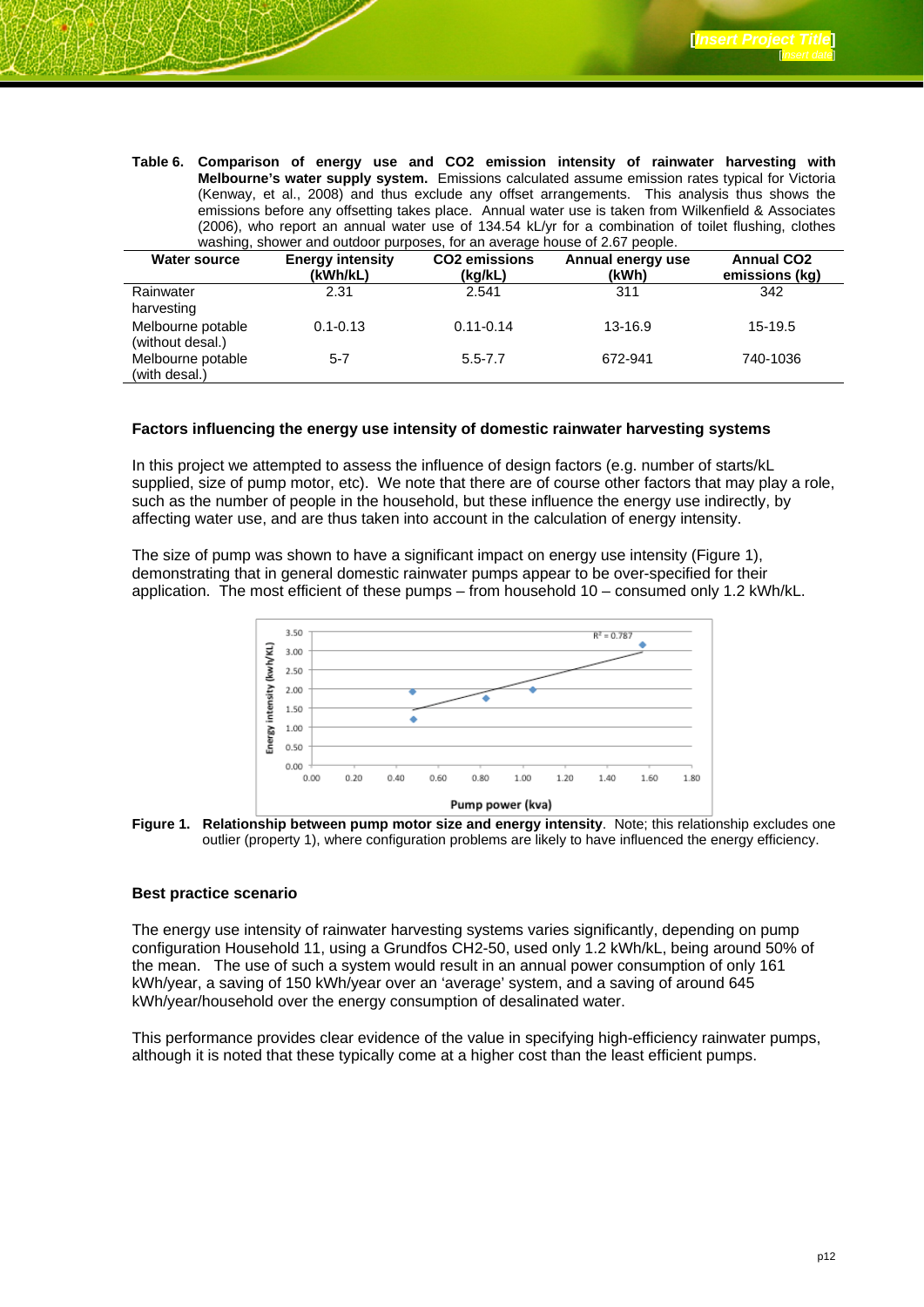**Table 6. Comparison of energy use and CO2 emission intensity of rainwater harvesting with Melbourne's water supply system.** Emissions calculated assume emission rates typical for Victoria (Kenway, et al., 2008) and thus exclude any offset arrangements. This analysis thus shows the emissions before any offsetting takes place. Annual water use is taken from Wilkenfield & Associates (2006), who report an annual water use of 134.54 kL/yr for a combination of toilet flushing, clothes washing, shower and outdoor purposes, for an average house of 2.67 people.

| <b>Water source</b>                   | <b>Energy intensity</b><br>(kWh/kL) | <b>CO2</b> emissions<br>(kg/kL) | Annual energy use<br>(kWh) | <b>Annual CO2</b><br>emissions (kg) |
|---------------------------------------|-------------------------------------|---------------------------------|----------------------------|-------------------------------------|
| Rainwater<br>harvesting               | 2.31                                | 2.541                           | 311                        | 342                                 |
| Melbourne potable<br>(without desal.) | $0.1 - 0.13$                        | $0.11 - 0.14$                   | 13-16.9                    | $15-19.5$                           |
| Melbourne potable<br>(with desal.)    | $5 - 7$                             | $5.5 - 7.7$                     | 672-941                    | 740-1036                            |

#### **Factors influencing the energy use intensity of domestic rainwater harvesting systems**

In this project we attempted to assess the influence of design factors (e.g. number of starts/kL supplied, size of pump motor, etc). We note that there are of course other factors that may play a role, such as the number of people in the household, but these influence the energy use indirectly, by affecting water use, and are thus taken into account in the calculation of energy intensity.

The size of pump was shown to have a significant impact on energy use intensity (Figure 1), demonstrating that in general domestic rainwater pumps appear to be over-specified for their application. The most efficient of these pumps – from household 10 – consumed only 1.2 kWh/kL.



**Figure 1. Relationship between pump motor size and energy intensity**. Note; this relationship excludes one outlier (property 1), where configuration problems are likely to have influenced the energy efficiency.

#### **Best practice scenario**

The energy use intensity of rainwater harvesting systems varies significantly, depending on pump configuration Household 11, using a Grundfos CH2-50, used only 1.2 kWh/kL, being around 50% of the mean. The use of such a system would result in an annual power consumption of only 161 kWh/year, a saving of 150 kWh/year over an 'average' system, and a saving of around 645 kWh/year/household over the energy consumption of desalinated water.

This performance provides clear evidence of the value in specifying high-efficiency rainwater pumps, although it is noted that these typically come at a higher cost than the least efficient pumps.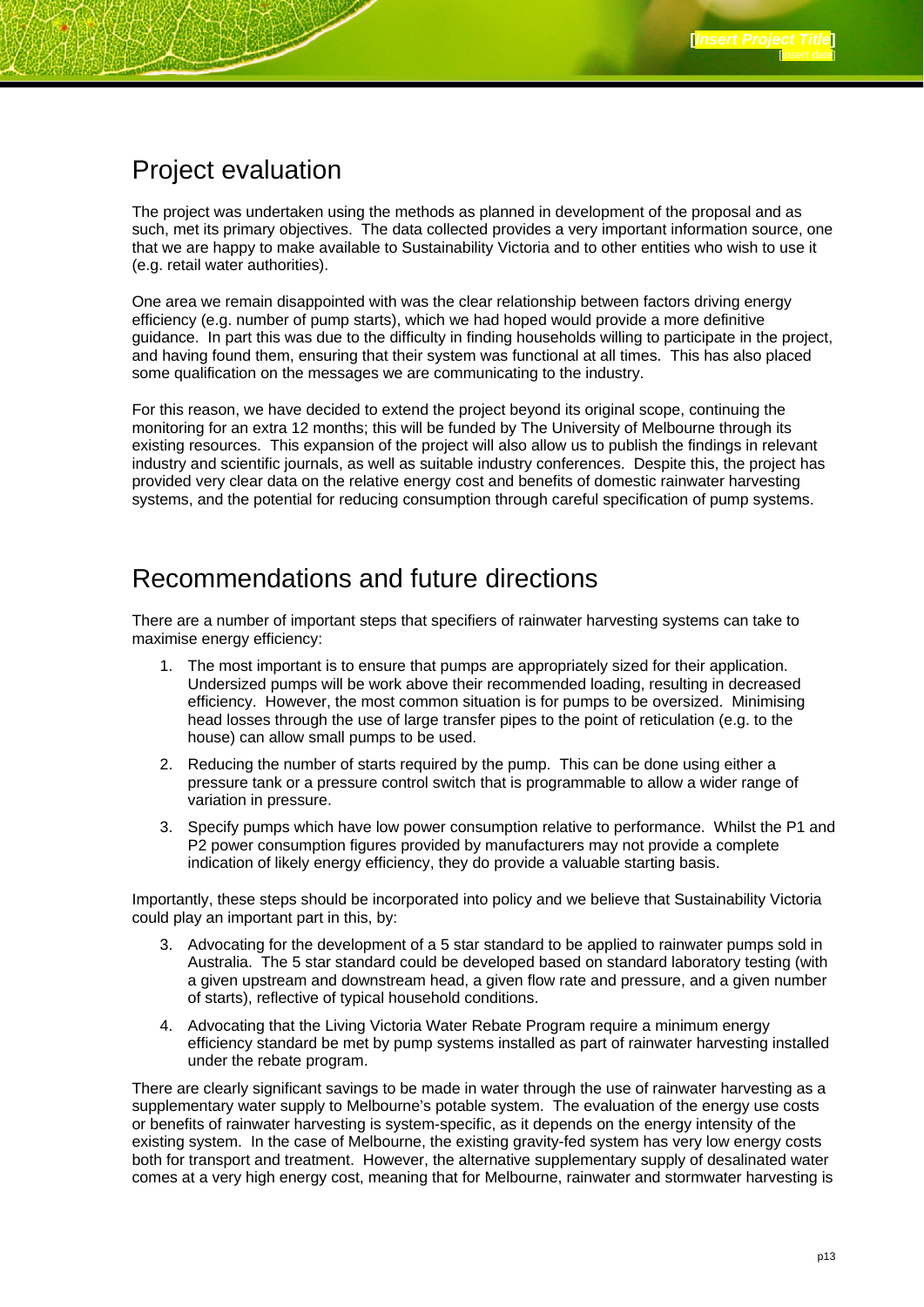### Project evaluation

The project was undertaken using the methods as planned in development of the proposal and as such, met its primary objectives. The data collected provides a very important information source, one that we are happy to make available to Sustainability Victoria and to other entities who wish to use it (e.g. retail water authorities).

One area we remain disappointed with was the clear relationship between factors driving energy efficiency (e.g. number of pump starts), which we had hoped would provide a more definitive guidance. In part this was due to the difficulty in finding households willing to participate in the project, and having found them, ensuring that their system was functional at all times. This has also placed some qualification on the messages we are communicating to the industry.

For this reason, we have decided to extend the project beyond its original scope, continuing the monitoring for an extra 12 months; this will be funded by The University of Melbourne through its existing resources. This expansion of the project will also allow us to publish the findings in relevant industry and scientific journals, as well as suitable industry conferences. Despite this, the project has provided very clear data on the relative energy cost and benefits of domestic rainwater harvesting systems, and the potential for reducing consumption through careful specification of pump systems.

### Recommendations and future directions

There are a number of important steps that specifiers of rainwater harvesting systems can take to maximise energy efficiency:

- 1. The most important is to ensure that pumps are appropriately sized for their application. Undersized pumps will be work above their recommended loading, resulting in decreased efficiency. However, the most common situation is for pumps to be oversized. Minimising head losses through the use of large transfer pipes to the point of reticulation (e.g. to the house) can allow small pumps to be used.
- 2. Reducing the number of starts required by the pump. This can be done using either a pressure tank or a pressure control switch that is programmable to allow a wider range of variation in pressure.
- 3. Specify pumps which have low power consumption relative to performance. Whilst the P1 and P2 power consumption figures provided by manufacturers may not provide a complete indication of likely energy efficiency, they do provide a valuable starting basis.

Importantly, these steps should be incorporated into policy and we believe that Sustainability Victoria could play an important part in this, by:

- 3. Advocating for the development of a 5 star standard to be applied to rainwater pumps sold in Australia. The 5 star standard could be developed based on standard laboratory testing (with a given upstream and downstream head, a given flow rate and pressure, and a given number of starts), reflective of typical household conditions.
- 4. Advocating that the Living Victoria Water Rebate Program require a minimum energy efficiency standard be met by pump systems installed as part of rainwater harvesting installed under the rebate program.

There are clearly significant savings to be made in water through the use of rainwater harvesting as a supplementary water supply to Melbourne's potable system. The evaluation of the energy use costs or benefits of rainwater harvesting is system-specific, as it depends on the energy intensity of the existing system. In the case of Melbourne, the existing gravity-fed system has very low energy costs both for transport and treatment. However, the alternative supplementary supply of desalinated water comes at a very high energy cost, meaning that for Melbourne, rainwater and stormwater harvesting is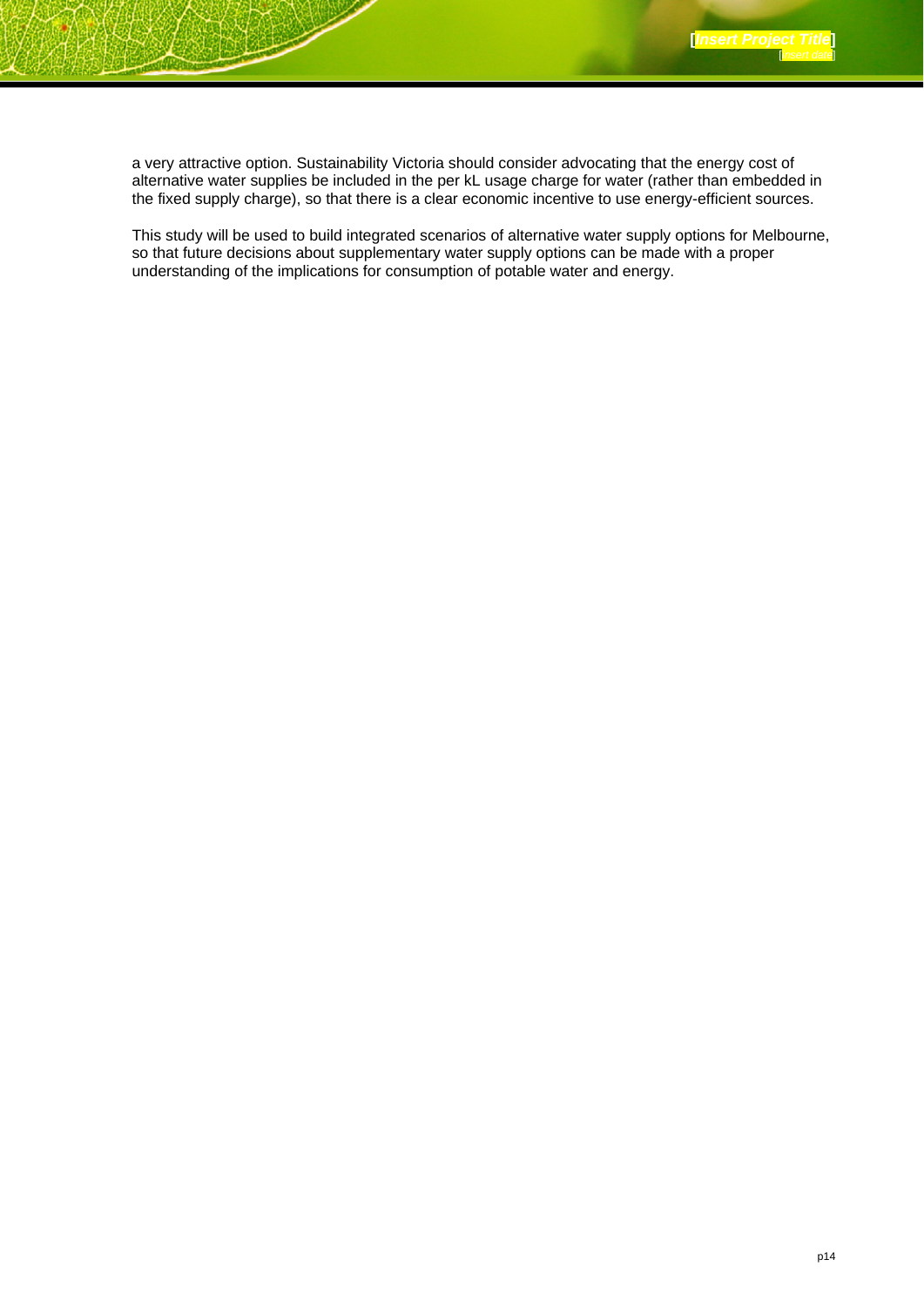a very attractive option. Sustainability Victoria should consider advocating that the energy cost of alternative water supplies be included in the per kL usage charge for water (rather than embedded in the fixed supply charge), so that there is a clear economic incentive to use energy-efficient sources.

This study will be used to build integrated scenarios of alternative water supply options for Melbourne, so that future decisions about supplementary water supply options can be made with a proper understanding of the implications for consumption of potable water and energy.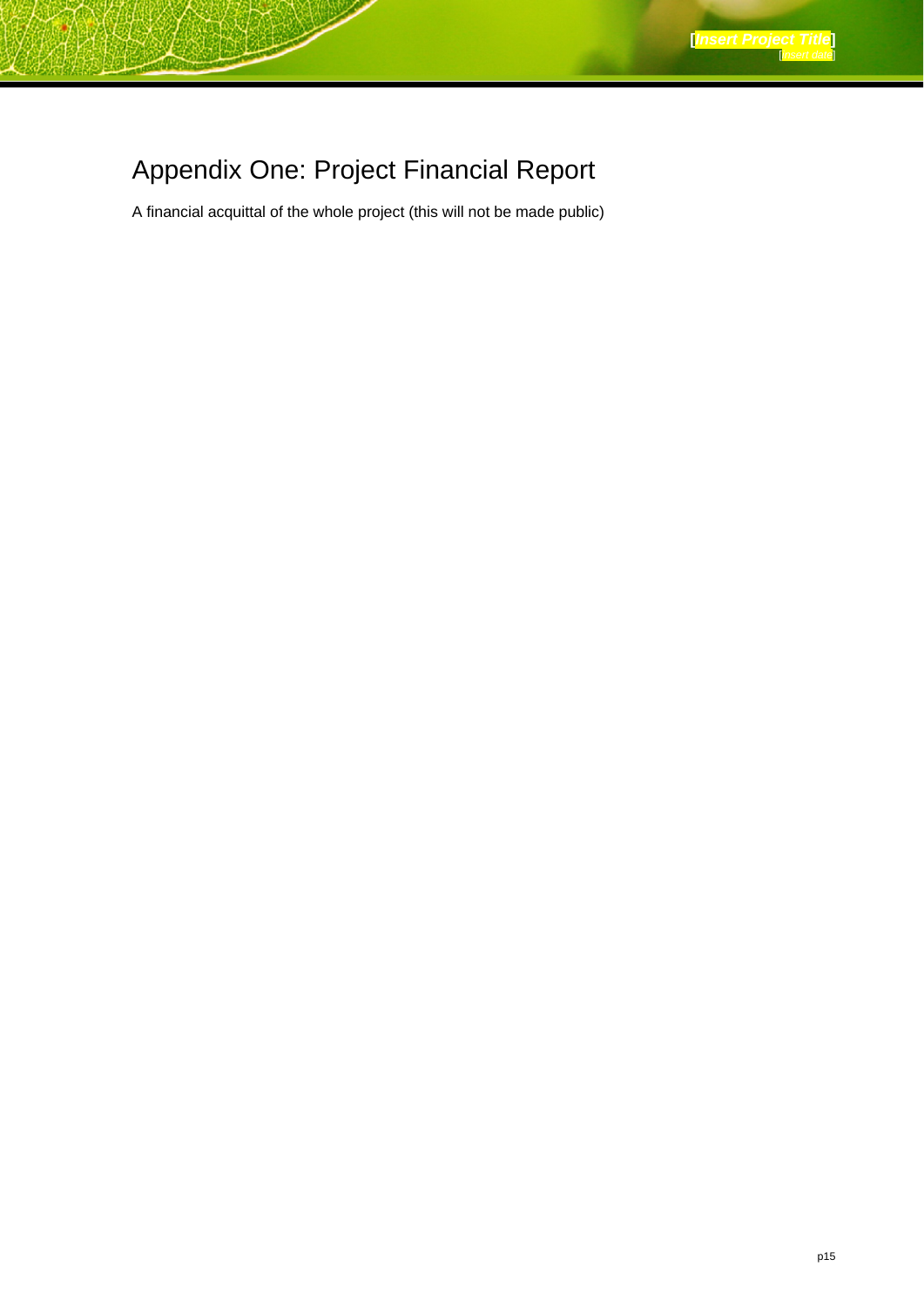# Appendix One: Project Financial Report

A financial acquittal of the whole project (this will not be made public)